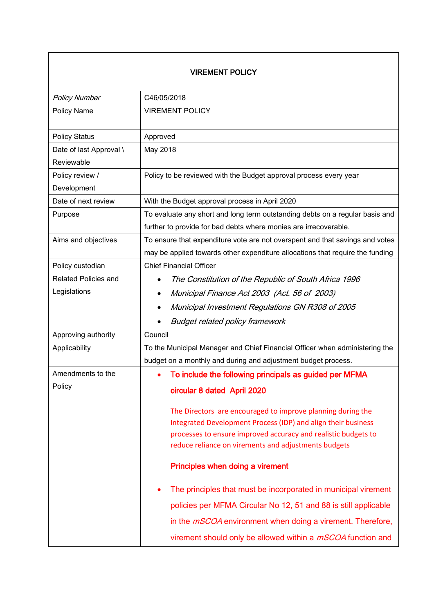## VIREMENT POLICY

| <b>Policy Number</b>                  | C46/05/2018                                                                                                                                                                                                                                            |  |
|---------------------------------------|--------------------------------------------------------------------------------------------------------------------------------------------------------------------------------------------------------------------------------------------------------|--|
| Policy Name                           | <b>VIREMENT POLICY</b>                                                                                                                                                                                                                                 |  |
| <b>Policy Status</b>                  | Approved                                                                                                                                                                                                                                               |  |
| Date of last Approval \<br>Reviewable | May 2018                                                                                                                                                                                                                                               |  |
| Policy review /                       | Policy to be reviewed with the Budget approval process every year                                                                                                                                                                                      |  |
| Development                           |                                                                                                                                                                                                                                                        |  |
| Date of next review                   | With the Budget approval process in April 2020                                                                                                                                                                                                         |  |
| Purpose                               | To evaluate any short and long term outstanding debts on a regular basis and                                                                                                                                                                           |  |
|                                       | further to provide for bad debts where monies are irrecoverable.                                                                                                                                                                                       |  |
| Aims and objectives                   | To ensure that expenditure vote are not overspent and that savings and votes                                                                                                                                                                           |  |
|                                       | may be applied towards other expenditure allocations that require the funding                                                                                                                                                                          |  |
| Policy custodian                      | <b>Chief Financial Officer</b>                                                                                                                                                                                                                         |  |
| <b>Related Policies and</b>           | The Constitution of the Republic of South Africa 1996                                                                                                                                                                                                  |  |
| Legislations                          | Municipal Finance Act 2003 (Act. 56 of 2003)<br>٠                                                                                                                                                                                                      |  |
|                                       | Municipal Investment Regulations GN R308 of 2005                                                                                                                                                                                                       |  |
|                                       | <b>Budget related policy framework</b>                                                                                                                                                                                                                 |  |
| Approving authority                   | Council                                                                                                                                                                                                                                                |  |
| Applicability                         | To the Municipal Manager and Chief Financial Officer when administering the                                                                                                                                                                            |  |
|                                       | budget on a monthly and during and adjustment budget process.                                                                                                                                                                                          |  |
| Amendments to the                     | To include the following principals as guided per MFMA                                                                                                                                                                                                 |  |
| Policy                                | circular 8 dated April 2020                                                                                                                                                                                                                            |  |
|                                       | The Directors are encouraged to improve planning during the<br>Integrated Development Process (IDP) and align their business<br>processes to ensure improved accuracy and realistic budgets to<br>reduce reliance on virements and adjustments budgets |  |
|                                       | Principles when doing a virement                                                                                                                                                                                                                       |  |
|                                       | The principles that must be incorporated in municipal virement                                                                                                                                                                                         |  |
|                                       | policies per MFMA Circular No 12, 51 and 88 is still applicable                                                                                                                                                                                        |  |
|                                       | in the <i>mSCOA</i> environment when doing a virement. Therefore,                                                                                                                                                                                      |  |
|                                       | virement should only be allowed within a <i>mSCOA</i> function and                                                                                                                                                                                     |  |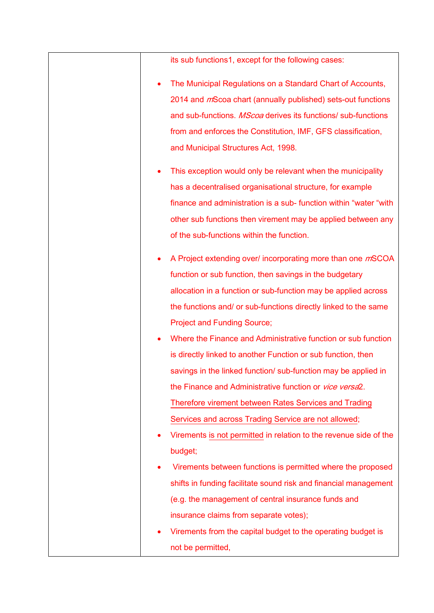|   | its sub functions1, except for the following cases:                  |
|---|----------------------------------------------------------------------|
|   | The Municipal Regulations on a Standard Chart of Accounts,           |
|   | 2014 and <i>m</i> Scoa chart (annually published) sets-out functions |
|   | and sub-functions. MScoa derives its functions/ sub-functions        |
|   | from and enforces the Constitution, IMF, GFS classification,         |
|   | and Municipal Structures Act, 1998.                                  |
| ٠ | This exception would only be relevant when the municipality          |
|   | has a decentralised organisational structure, for example            |
|   | finance and administration is a sub-function within "water "with"    |
|   | other sub functions then virement may be applied between any         |
|   | of the sub-functions within the function.                            |
| ٠ | A Project extending over/ incorporating more than one mSCOA          |
|   | function or sub function, then savings in the budgetary              |
|   | allocation in a function or sub-function may be applied across       |
|   | the functions and/ or sub-functions directly linked to the same      |
|   | <b>Project and Funding Source;</b>                                   |
|   | Where the Finance and Administrative function or sub function        |
|   | is directly linked to another Function or sub function, then         |
|   | savings in the linked function/ sub-function may be applied in       |
|   | the Finance and Administrative function or vice versa2.              |
|   | Therefore virement between Rates Services and Trading                |
|   | Services and across Trading Service are not allowed;                 |
|   | Virements is not permitted in relation to the revenue side of the    |
|   | budget;                                                              |
|   | Virements between functions is permitted where the proposed          |
|   | shifts in funding facilitate sound risk and financial management     |
|   | (e.g. the management of central insurance funds and                  |
|   | insurance claims from separate votes);                               |
|   | Virements from the capital budget to the operating budget is         |
|   | not be permitted,                                                    |
|   |                                                                      |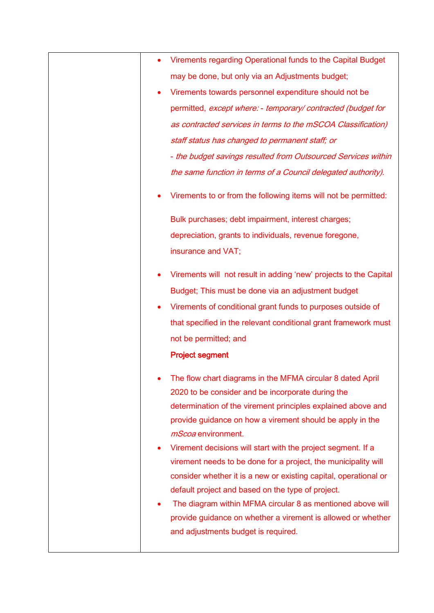|           | Virements regarding Operational funds to the Capital Budget                                                                                                                                                                                                                                                                                                                                                                  |
|-----------|------------------------------------------------------------------------------------------------------------------------------------------------------------------------------------------------------------------------------------------------------------------------------------------------------------------------------------------------------------------------------------------------------------------------------|
|           | may be done, but only via an Adjustments budget;                                                                                                                                                                                                                                                                                                                                                                             |
|           | Virements towards personnel expenditure should not be                                                                                                                                                                                                                                                                                                                                                                        |
|           | permitted, except where: - temporary/contracted (budget for                                                                                                                                                                                                                                                                                                                                                                  |
|           | as contracted services in terms to the mSCOA Classification)                                                                                                                                                                                                                                                                                                                                                                 |
|           | staff status has changed to permanent staff; or                                                                                                                                                                                                                                                                                                                                                                              |
|           | - the budget savings resulted from Outsourced Services within                                                                                                                                                                                                                                                                                                                                                                |
|           | the same function in terms of a Council delegated authority).                                                                                                                                                                                                                                                                                                                                                                |
|           | Virements to or from the following items will not be permitted:                                                                                                                                                                                                                                                                                                                                                              |
|           | Bulk purchases; debt impairment, interest charges;                                                                                                                                                                                                                                                                                                                                                                           |
|           | depreciation, grants to individuals, revenue foregone,                                                                                                                                                                                                                                                                                                                                                                       |
|           | insurance and VAT;                                                                                                                                                                                                                                                                                                                                                                                                           |
|           | Virements will not result in adding 'new' projects to the Capital                                                                                                                                                                                                                                                                                                                                                            |
|           | Budget; This must be done via an adjustment budget                                                                                                                                                                                                                                                                                                                                                                           |
| $\bullet$ | Virements of conditional grant funds to purposes outside of                                                                                                                                                                                                                                                                                                                                                                  |
|           | that specified in the relevant conditional grant framework must                                                                                                                                                                                                                                                                                                                                                              |
|           | not be permitted; and                                                                                                                                                                                                                                                                                                                                                                                                        |
|           | <b>Project segment</b>                                                                                                                                                                                                                                                                                                                                                                                                       |
|           | The flow chart diagrams in the MFMA circular 8 dated April<br>2020 to be consider and be incorporate during the<br>determination of the virement principles explained above and<br>provide guidance on how a virement should be apply in the<br><i>mScoa</i> environment.                                                                                                                                                    |
|           | Virement decisions will start with the project segment. If a<br>virement needs to be done for a project, the municipality will<br>consider whether it is a new or existing capital, operational or<br>default project and based on the type of project.<br>The diagram within MFMA circular 8 as mentioned above will<br>provide guidance on whether a virement is allowed or whether<br>and adjustments budget is required. |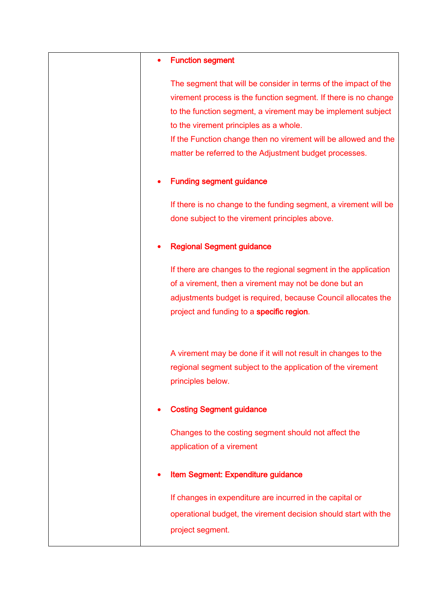#### • Function segment

The segment that will be consider in terms of the impact of the virement process is the function segment. If there is no change to the function segment, a virement may be implement subject to the virement principles as a whole.

If the Function change then no virement will be allowed and the matter be referred to the Adjustment budget processes.

### Funding segment guidance

If there is no change to the funding segment, a virement will be done subject to the virement principles above.

## Regional Segment guidance

If there are changes to the regional segment in the application of a virement, then a virement may not be done but an adjustments budget is required, because Council allocates the project and funding to a specific region.

A virement may be done if it will not result in changes to the regional segment subject to the application of the virement principles below.

## Costing Segment guidance

Changes to the costing segment should not affect the application of a virement

## Item Segment: Expenditure guidance

If changes in expenditure are incurred in the capital or operational budget, the virement decision should start with the project segment.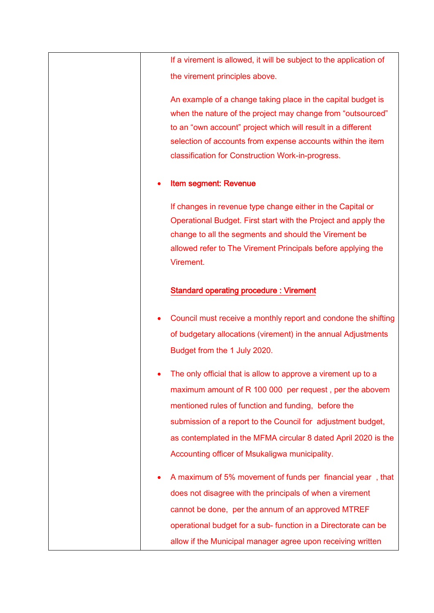If a virement is allowed, it will be subject to the application of the virement principles above.

An example of a change taking place in the capital budget is when the nature of the project may change from "outsourced" to an "own account" project which will result in a different selection of accounts from expense accounts within the item classification for Construction Work-in-progress.

### Item segment: Revenue

If changes in revenue type change either in the Capital or Operational Budget. First start with the Project and apply the change to all the segments and should the Virement be allowed refer to The Virement Principals before applying the Virement.

#### Standard operating procedure : Virement

- Council must receive a monthly report and condone the shifting of budgetary allocations (virement) in the annual Adjustments Budget from the 1 July 2020.
- The only official that is allow to approve a virement up to a maximum amount of R 100 000 per request , per the abovem mentioned rules of function and funding, before the submission of a report to the Council for adjustment budget, as contemplated in the MFMA circular 8 dated April 2020 is the Accounting officer of Msukaligwa municipality.
- A maximum of 5% movement of funds per financial year , that does not disagree with the principals of when a virement cannot be done, per the annum of an approved MTREF operational budget for a sub- function in a Directorate can be allow if the Municipal manager agree upon receiving written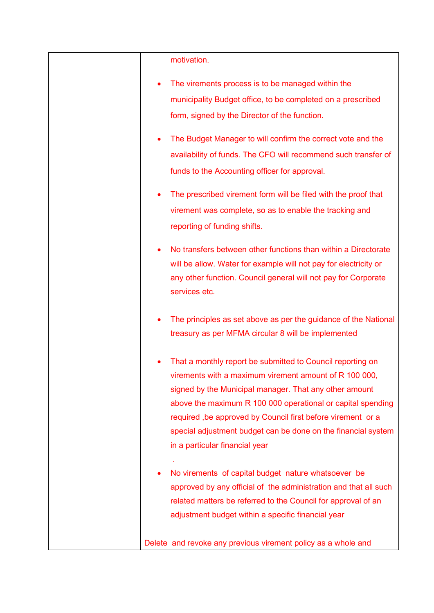| motivation.                                                                                     |
|-------------------------------------------------------------------------------------------------|
| The virements process is to be managed within the                                               |
| municipality Budget office, to be completed on a prescribed                                     |
| form, signed by the Director of the function.                                                   |
| The Budget Manager to will confirm the correct vote and the                                     |
| availability of funds. The CFO will recommend such transfer of                                  |
| funds to the Accounting officer for approval.                                                   |
| The prescribed virement form will be filed with the proof that                                  |
| virement was complete, so as to enable the tracking and                                         |
| reporting of funding shifts.                                                                    |
| No transfers between other functions than within a Directorate                                  |
| will be allow. Water for example will not pay for electricity or                                |
| any other function. Council general will not pay for Corporate                                  |
| services etc.                                                                                   |
| The principles as set above as per the guidance of the National                                 |
| treasury as per MFMA circular 8 will be implemented                                             |
| That a monthly report be submitted to Council reporting on                                      |
| virements with a maximum virement amount of R 100 000,                                          |
| signed by the Municipal manager. That any other amount                                          |
| above the maximum R 100 000 operational or capital spending                                     |
| required, be approved by Council first before virement or a                                     |
| special adjustment budget can be done on the financial system<br>in a particular financial year |
|                                                                                                 |
| No virements of capital budget nature whatsoever be                                             |
| approved by any official of the administration and that all such                                |
| related matters be referred to the Council for approval of an                                   |
| adjustment budget within a specific financial year                                              |
| Delete and revoke any previous virement policy as a whole and                                   |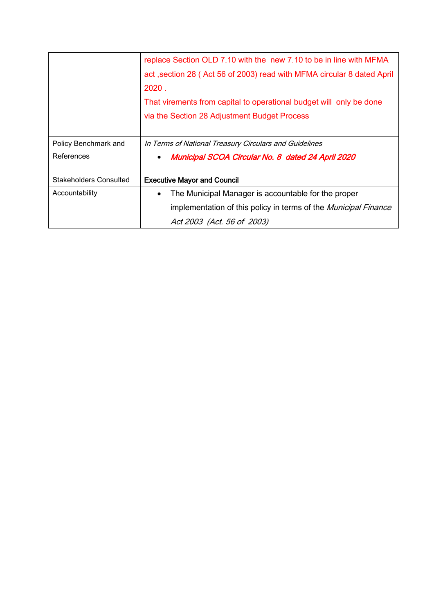|                               | replace Section OLD 7.10 with the new 7.10 to be in line with MFMA     |
|-------------------------------|------------------------------------------------------------------------|
|                               | act, section 28 (Act 56 of 2003) read with MFMA circular 8 dated April |
|                               | 2020.                                                                  |
|                               | That virements from capital to operational budget will only be done    |
|                               | via the Section 28 Adjustment Budget Process                           |
|                               |                                                                        |
| Policy Benchmark and          | In Terms of National Treasury Circulars and Guidelines                 |
| References                    | Municipal SCOA Circular No. 8 dated 24 April 2020<br>$\bullet$         |
|                               |                                                                        |
| <b>Stakeholders Consulted</b> | <b>Executive Mayor and Council</b>                                     |
| Accountability                | The Municipal Manager is accountable for the proper<br>$\bullet$       |
|                               | implementation of this policy in terms of the Municipal Finance        |
|                               | Act 2003 (Act. 56 of 2003)                                             |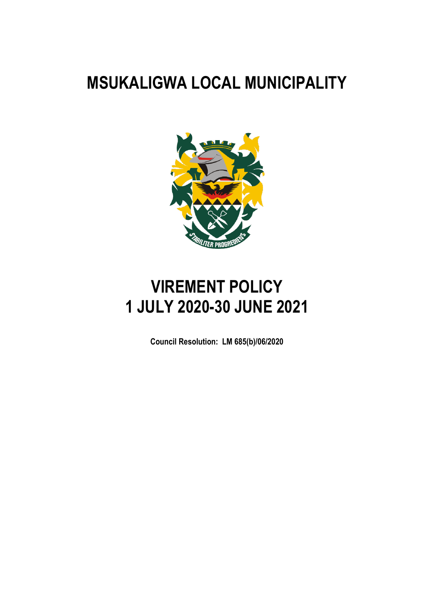# **MSUKALIGWA LOCAL MUNICIPALITY**



# **VIREMENT POLICY 1 JULY 2020-30 JUNE 2021**

**Council Resolution: LM 685(b)/06/2020**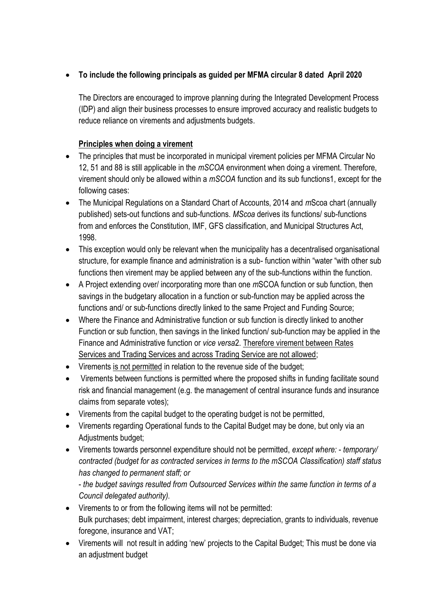# **To include the following principals as guided per MFMA circular 8 dated April 2020**

The Directors are encouraged to improve planning during the Integrated Development Process (IDP) and align their business processes to ensure improved accuracy and realistic budgets to reduce reliance on virements and adjustments budgets.

# **Principles when doing a virement**

- The principles that must be incorporated in municipal virement policies per MFMA Circular No 12, 51 and 88 is still applicable in the *mSCOA* environment when doing a virement. Therefore, virement should only be allowed within a *mSCOA* function and its sub functions1, except for the following cases:
- The Municipal Regulations on a Standard Chart of Accounts, 2014 and *m*Scoa chart (annually published) sets-out functions and sub-functions. *MScoa* derives its functions/ sub-functions from and enforces the Constitution, IMF, GFS classification, and Municipal Structures Act, 1998.
- This exception would only be relevant when the municipality has a decentralised organisational structure, for example finance and administration is a sub- function within "water "with other sub functions then virement may be applied between any of the sub-functions within the function.
- A Project extending over/ incorporating more than one *m*SCOA function or sub function, then savings in the budgetary allocation in a function or sub-function may be applied across the functions and/ or sub-functions directly linked to the same Project and Funding Source;
- Where the Finance and Administrative function or sub function is directly linked to another Function or sub function, then savings in the linked function/ sub-function may be applied in the Finance and Administrative function or *vice versa*2. Therefore virement between Rates Services and Trading Services and across Trading Service are not allowed;
- Virements is not permitted in relation to the revenue side of the budget;
- Virements between functions is permitted where the proposed shifts in funding facilitate sound risk and financial management (e.g. the management of central insurance funds and insurance claims from separate votes);
- Virements from the capital budget to the operating budget is not be permitted,
- Virements regarding Operational funds to the Capital Budget may be done, but only via an Adjustments budget;
- Virements towards personnel expenditure should not be permitted, *except where: temporary/ contracted (budget for as contracted services in terms to the mSCOA Classification) staff status has changed to permanent staff; or*

- *the budget savings resulted from Outsourced Services within the same function in terms of a Council delegated authority).* 

- Virements to or from the following items will not be permitted: Bulk purchases; debt impairment, interest charges; depreciation, grants to individuals, revenue foregone, insurance and VAT;
- Virements will not result in adding 'new' projects to the Capital Budget; This must be done via an adjustment budget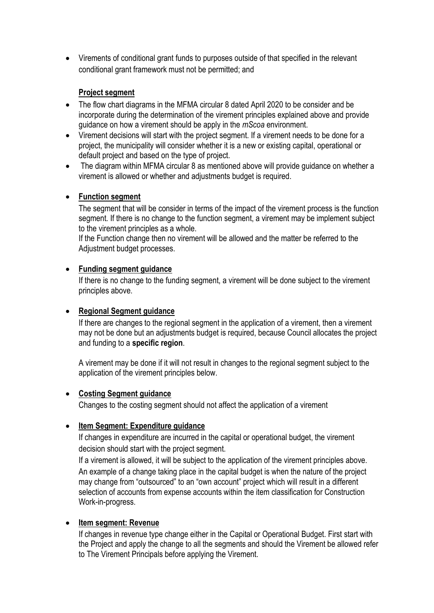Virements of conditional grant funds to purposes outside of that specified in the relevant conditional grant framework must not be permitted; and

# **Project segment**

- The flow chart diagrams in the MFMA circular 8 dated April 2020 to be consider and be incorporate during the determination of the virement principles explained above and provide guidance on how a virement should be apply in the *mScoa* environment.
- Virement decisions will start with the project segment. If a virement needs to be done for a project, the municipality will consider whether it is a new or existing capital, operational or default project and based on the type of project.
- The diagram within MFMA circular 8 as mentioned above will provide guidance on whether a virement is allowed or whether and adjustments budget is required.

## **Function segment**

The segment that will be consider in terms of the impact of the virement process is the function segment. If there is no change to the function segment, a virement may be implement subject to the virement principles as a whole.

If the Function change then no virement will be allowed and the matter be referred to the Adjustment budget processes.

# **Funding segment guidance**

If there is no change to the funding segment, a virement will be done subject to the virement principles above.

# **Regional Segment guidance**

If there are changes to the regional segment in the application of a virement, then a virement may not be done but an adjustments budget is required, because Council allocates the project and funding to a **specific region**.

A virement may be done if it will not result in changes to the regional segment subject to the application of the virement principles below.

## **Costing Segment guidance**

Changes to the costing segment should not affect the application of a virement

## **Item Segment: Expenditure guidance**

If changes in expenditure are incurred in the capital or operational budget, the virement decision should start with the project segment.

If a virement is allowed, it will be subject to the application of the virement principles above. An example of a change taking place in the capital budget is when the nature of the project may change from "outsourced" to an "own account" project which will result in a different selection of accounts from expense accounts within the item classification for Construction Work-in-progress.

## **Item segment: Revenue**

If changes in revenue type change either in the Capital or Operational Budget. First start with the Project and apply the change to all the segments and should the Virement be allowed refer to The Virement Principals before applying the Virement.